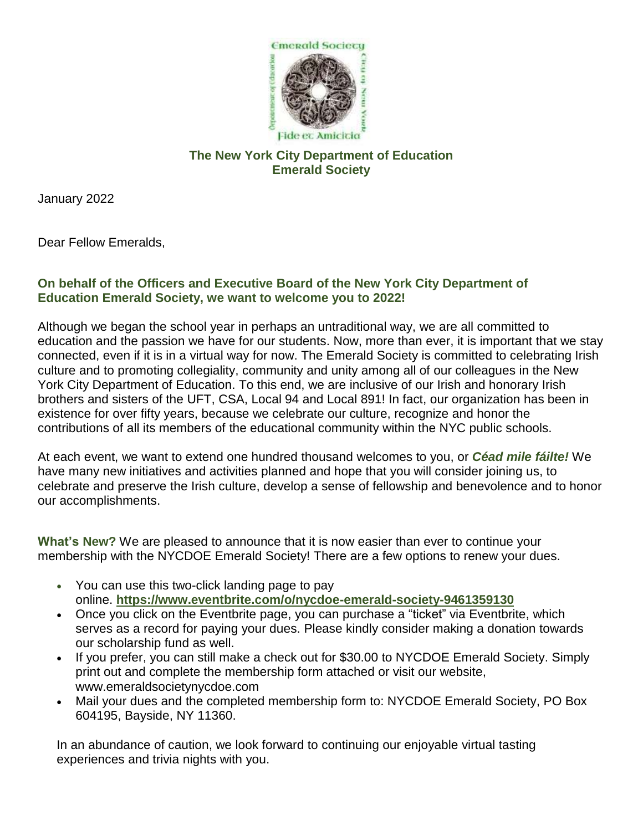

## **The New York City Department of Education Emerald Society**

January 2022

Dear Fellow Emeralds,

## **On behalf of the Officers and Executive Board of the New York City Department of Education Emerald Society, we want to welcome you to 2022!**

Although we began the school year in perhaps an untraditional way, we are all committed to education and the passion we have for our students. Now, more than ever, it is important that we stay connected, even if it is in a virtual way for now. The Emerald Society is committed to celebrating Irish culture and to promoting collegiality, community and unity among all of our colleagues in the New York City Department of Education. To this end, we are inclusive of our Irish and honorary Irish brothers and sisters of the UFT, CSA, Local 94 and Local 891! In fact, our organization has been in existence for over fifty years, because we celebrate our culture, recognize and honor the contributions of all its members of the educational community within the NYC public schools.

At each event, we want to extend one hundred thousand welcomes to you, or *Céad mile fáilte!* We have many new initiatives and activities planned and hope that you will consider joining us, to celebrate and preserve the Irish culture, develop a sense of fellowship and benevolence and to honor our accomplishments.

**What's New?** We are pleased to announce that it is now easier than ever to continue your membership with the NYCDOE Emerald Society! There are a few options to renew your dues.

- You can use this two-click landing page to pay online. **[https://www.eventbrite.com/o/nycdoe-emerald-society-9461359130](https://nam10.safelinks.protection.outlook.com/?url=https%3A%2F%2Fwww.eventbrite.com%2Fo%2Fnycdoe-emerald-society-9461359130&data=04%7C01%7CDMcGuire%40schools.nyc.gov%7C1921e383d2cb46e1627d08d9e5003c9f%7C18492cb7ef45456185710c42e5f7ac07%7C0%7C0%7C637792612533769319%7CUnknown%7CTWFpbGZsb3d8eyJWIjoiMC4wLjAwMDAiLCJQIjoiV2luMzIiLCJBTiI6Ik1haWwiLCJXVCI6Mn0%3D%7C3000&sdata=H7pvRVFTh8wDYAzQ1wXGn9XDyFxne35Lgmi1CKiiHGM%3D&reserved=0)**
- Once you click on the Eventbrite page, you can purchase a "ticket" via Eventbrite, which serves as a record for paying your dues. Please kindly consider making a donation towards our scholarship fund as well.
- If you prefer, you can still make a check out for \$30.00 to NYCDOE Emerald Society. Simply print out and complete the membership form attached or visit our website, www.emeraldsocietynycdoe.com
- Mail your dues and the completed membership form to: NYCDOE Emerald Society, PO Box 604195, Bayside, NY 11360.

In an abundance of caution, we look forward to continuing our enjoyable virtual tasting experiences and trivia nights with you.